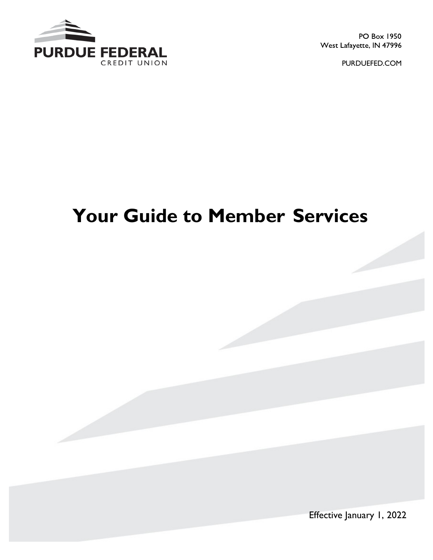

PO Box 1950 West Lafayette, IN 47996

PURDUEFED.COM

# **Your Guide to Member Services**

Effective January 1, 2022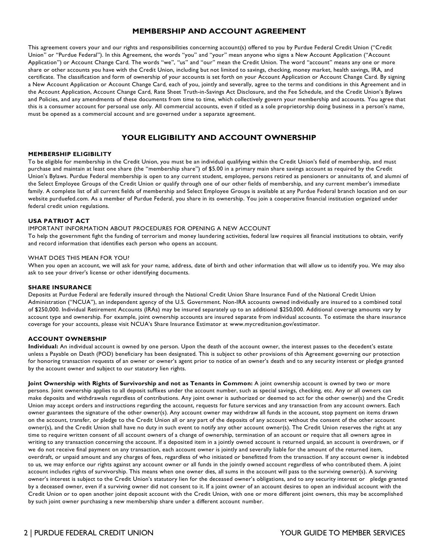# **MEMBERSHIP AND ACCOUNT AGREEMENT**

 This agreement covers your and our rights and responsibilities concerning account(s) offered to you by Purdue Federal Credit Union ("Credit Union" or "Purdue Federal"). In this Agreement, the words "you" and "your" mean anyone who signs a New Account Application ("Account Application") or Account Change Card. The words "we", "us" and "our" mean the Credit Union. The word "account" means any one or more share or other accounts you have with the Credit Union, including but not limited to savings, checking, money market, health savings, IRA, and certificate. The classification and form of ownership of your accounts is set forth on your Account Application or Account Change Card. By signing a New Account Application or Account Change Card, each of you, jointly and severally, agree to the terms and conditions in this Agreement and in the Account Application, Account Change Card, Rate Sheet Truth-in-Savings Act Disclosure, and the Fee Schedule, and the Credit Union's Bylaws and Policies, and any amendments of these documents from time to time, which collectively govern your membership and accounts. You agree that this is a consumer account for personal use only. All commercial accounts, even if titled as a sole proprietorship doing business in a person's name, must be opened as a commercial account and are governed under a separate agreement.

# **YOUR ELIGIBILITY AND ACCOUNT OWNERSHIP**

#### **MEMBERSHIP ELIGIBILITY**

 To be eligible for membership in the Credit Union, you must be an individual qualifying within the Credit Union's field of membership, and must purchase and maintain at least one share (the "membership share") of \$5.00 in a primary main share savings account as required by the Credit Union's Bylaws. Purdue Federal membership is open to any current student, employee, persons retired as pensioners or annuitants of, and alumni of the Select Employee Groups of the Credit Union or qualify through one of our other fields of membership, and any current member's immediate family. A complete list of all current fields of membership and Select Employee Groups is available at any Purdue Federal branch location and on our website [purduefed.com](https://purduefed.com). As a member of Purdue Federal, you share in its ownership. You join a cooperative financial institution organized under federal credit union regulations.

#### **USA PATRIOT ACT**

#### IMPORTANT INFORMATION ABOUT PROCEDURES FOR OPENING A NEW ACCOUNT

 To help the government fight the funding of terrorism and money laundering activities, federal law requires all financial institutions to obtain, verify and record information that identifies each person who opens an account.

#### WHAT DOES THIS MEAN FOR YOU?

 When you open an account, we will ask for your name, address, date of birth and other information that will allow us to identify you. We may also ask to see your driver's license or other identifying documents.

#### **SHARE INSURANCE**

 Deposits at Purdue Federal are federally insured through the National Credit Union Share Insurance Fund of the National Credit Union Administration ("NCUA"), an independent agency of the U.S. Government. Non-IRA accounts owned individually are insured to a combined total of \$250,000. Individual Retirement Accounts (IRAs) may be insured separately up to an additional \$250,000. Additional coverage amounts vary by account type and ownership. For example, joint ownership accounts are insured separate from individual accounts. To estimate the share insurance coverage for your accounts, please visit NCUA's Share Insurance Estimator at <www.mycreditunion.gov/estimator>.

#### **ACCOUNT OWNERSHIP**

 **Individual:** An individual account is owned by one person. Upon the death of the account owner, the interest passes to the decedent's estate unless a Payable on Death (POD) beneficiary has been designated. This is subject to other provisions of this Agreement governing our protection for honoring transaction requests of an owner or owner's agent prior to notice of an owner's death and to any security interest or pledge granted by the account owner and subject to our statutory lien rights.

 **Joint Ownership with Rights of Survivorship and not as Tenants in Common:** A joint ownership account is owned by two or more persons. Joint ownership applies to all deposit suffixes under the account number, such as special savings, checking, etc. Any or all owners can make deposits and withdrawals regardless of contributions. Any joint owner is authorized or deemed to act for the other owner(s) and the Credit Union may accept orders and instructions regarding the account, requests for future services and any transaction from any account owners. Each owner guarantees the signature of the other owner(s). Any account owner may withdraw all funds in the account, stop payment on items drawn on the account, transfer, or pledge to the Credit Union all or any part of the deposits of any account without the consent of the other account owner(s), and the Credit Union shall have no duty in such event to notify any other account owner(s). The Credit Union reserves the right at any time to require written consent of all account owners of a change of ownership, termination of an account or require that all owners agree in writing to any transaction concerning the account. If a deposited item in a jointly owned account is returned unpaid, an account is overdrawn, or if we do not receive final payment on any transaction, each account owner is jointly and severally liable for the amount of the returned item, overdraft, or unpaid amount and any charges of fees, regardless of who initiated or benefitted from the transaction. If any account owner is indebted to us, we may enforce our rights against any account owner or all funds in the jointly owned account regardless of who contributed them. A joint account includes rights of survivorship. This means when one owner dies, all sums in the account will pass to the surviving owner(s). A surviving owner's interest is subject to the Credit Union's statutory lien for the deceased owner's obligations, and to any security interest or pledge granted by a deceased owner, even if a surviving owner did not consent to it. If a joint owner of an account desires to open an individual account with the Credit Union or to open another joint deposit account with the Credit Union, with one or more different joint owners, this may be accomplished by such joint owner purchasing a new membership share under a different account number.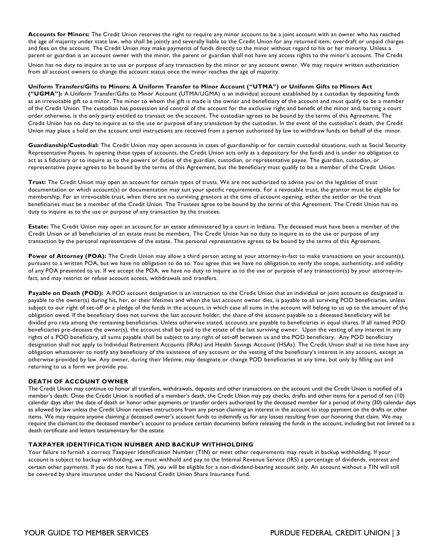**Accounts for Minors:** The Credit Union reserves the right to require any minor account to be a joint account with an owner who has reached the age of majority under state law, who shall be jointly and severally liable to the Credit Union for any returned item, overdraft or unpaid charges and fees on the account. The Credit Union may make payments of funds directly to the minor without regard to his or her minority. Unless a parent or guardian is an account owner with the minor, the parent or guardian shall not have any access rights to the minor's account. The Credit

 Union has no duty to inquire as to use or purpose of any transaction by the minor or any account owner. We may require written authorization from all account owners to change the account status once the minor reaches the age of majority.

#### **Uniform Transfers/Gifts to Minors: A Uniform Transfer to Minor Account ("UTMA") or Uniform Gifts to Minors Act**

 **("UGMA"):** A Uniform Transfer/Gifts to Minor Account (UTMA/UGMA) is an individual account established by a custodian by depositing funds as an irrevocable gift to a minor. The minor to whom the gift is made is the owner and beneficiary of the account and must qualify to be a member of the Credit Union. The custodian has possession and control of the account for the exclusive right and benefit of the minor and, barring a court order otherwise, is the only party entitled to transact on the account. The custodian agrees to be bound by the terms of this Agreement. The Credit Union has no duty to inquire as to the use or purpose of any transaction by the custodian. In the event of the custodian's death, the Credit Union may place a hold on the account until instructions are received from a person authorized by law to withdraw funds on behalf of the minor.

 **Guardianship/Custodial:** The Credit Union may open accounts in cases of guardianship or for certain custodial situations, such as Social Security Representative Payees. In opening these types of accounts, the Credit Union acts only as a depository for the funds and is under no obligation to act as a fiduciary or to inquire as to the powers or duties of the guardian, custodian, or representative payee. The guardian, custodian, or representative payee agrees to be bound by the terms of this Agreement, but the beneficiary must qualify to be a member of the Credit Union.

 **Trust:** The Credit Union may open an account for certain types of trusts. We are not authorized to advise you on the legalities of trust documentation or which account(s) or documentation may suit your specific requirements. For a revocable trust, the grantor must be eligible for membership. For an irrevocable trust, when there are no surviving grantors at the time of account opening, either the settlor or the trust beneficiaries must be a member of the Credit Union. The Trustees agree to be bound by the terms of this Agreement. The Credit Union has no duty to inquire as to the use or purpose of any transaction by the trustees.

 **Estate:** The Credit Union may open an account for an estate administered by a court in Indiana. The deceased must have been a member of the Credit Union or all beneficiaries of an estate must be members. The Credit Union has no duty to inquire as to the use or purpose of any transaction by the personal representative of the estate. The personal representative agrees to be bound by the terms of this Agreement.

Power of Attorney (POA): The Credit Union may allow a third person acting as your attorney-in-fact to make transactions on your account(s), pursuant to a written POA, but we have no obligation to do so. You agree that we have no obligation to verify the scope, authenticity, and validity of any POA presented to us. If we accept the POA, we have no duty to inquire as to the use or purpose of any transaction(s) by your attorney-in-fact, and may restrict or refuse account access, withdrawals and transfers.

Payable on Death (POD): A POD account designation is an instruction to the Credit Union that an individual or joint account so designated is payable to the owner(s) during his, her, or their lifetimes and when the last account owner dies, is payable to all surviving POD beneficiaries, unless subject to our right of set-off or a pledge of the funds in the account, in which case all sums in the account will belong to us up to the amount of the obligation owed. If the beneficiary does not survive the last account holder, the share of the account payable to a deceased beneficiary will be divided pro rata among the remaining beneficiaries. Unless otherwise stated, accounts are payable to beneficiaries in equal shares. If all named POD beneficiaries pre-decease the owner(s), the account shall be paid to the estate of the last surviving owner. Upon the vesting of any interest in any rights of a POD beneficiary, all sums payable shall be subject to any right of set-off between us and the POD beneficiary. Any POD beneficiary designation shall not apply to Individual Retirement Accounts (IRAs) and Health Savings Account (HSAs). The Credit Union shall at no time have any obligation whatsoever to notify any beneficiary of the existence of any account or the vesting of the beneficiary's interest in any account, except as otherwise provided by law. Any owner, during their lifetime, may designate or change POD beneficiaries at any time, but only by filling out and returning to us a form we provide you.

#### **DEATH OF ACCOUNT OWNER**

 The Credit Union may continue to honor all transfers, withdrawals, deposits and other transactions on the account until the Credit Union is notified of a member's death. Once the Credit Union is notified of a member's death, the Credit Union may pay checks, drafts and other items for a period of ten (10) calendar days after the date of death or honor other payments or transfer orders authorized by the deceased member for a period of thirty (30) calendar days as allowed by law unless the Credit Union receives instructions from any person claiming an interest in the account to stop payment on the drafts or other items. We may require anyone claiming a deceased owner's account funds to indemnify us for any losses resulting from our honoring that claim. We may require the claimant to the deceased member's account to produce certain documents before releasing the funds in the account, including but not limited to a death certificate and letters testamentary for the estate.

#### **TAXPAYER IDENTIFICATION NUMBER AND BACKUP WITHHOLDING**

 Your failure to furnish a correct Taxpayer Identification Number (TIN) or meet other requirements may result in backup withholding. If your account is subject to backup withholding, we must withhold and pay to the Internal Revenue Service (IRS) a percentage of dividends, interest and certain other payments. If you do not have a TIN, you will be eligible for a non-dividend-bearing account only. An account without a TIN will still be covered by share insurance under the National Credit Union Share Insurance Fund.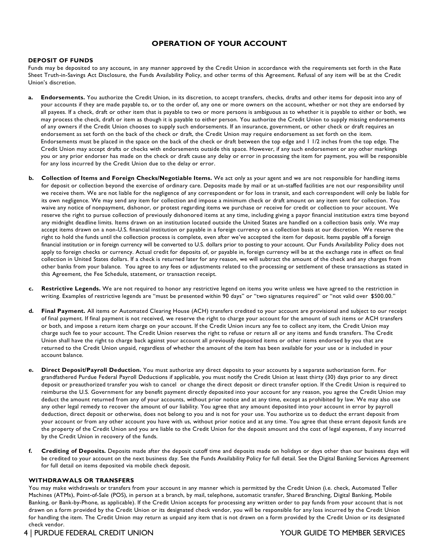# **OPERATION OF YOUR ACCOUNT**

#### **DEPOSIT OF FUNDS**

 Funds may be deposited to any account, in any manner approved by the Credit Union in accordance with the requirements set forth in the Rate Sheet Truth-in-Savings Act Disclosure, the Funds Availability Policy, and other terms of this Agreement. Refusal of any item will be at the Credit Union's discretion.

- **a. Endorsements.** You authorize the Credit Union, in its discretion, to accept transfers, checks, drafts and other items for deposit into any of your accounts if they are made payable to, or to the order of, any one or more owners on the account, whether or not they are endorsed by all payees. If a check, draft or other item that is payable to two or more persons is ambiguous as to whether it is payable to either or both, we may process the check, draft or item as though it is payable to either person. You authorize the Credit Union to supply missing endorsements of any owners if the Credit Union chooses to supply such endorsements. If an insurance, government, or other check or draft requires an endorsement as set forth on the back of the check or draft, the Credit Union may require endorsement as set forth on the item. Endorsements must be placed in the space on the back of the check or draft between the top edge and 1 1/2 inches from the top edge. The Credit Union may accept drafts or checks with endorsements outside this space. However, if any such endorsement or any other markings you or any prior endorser has made on the check or draft cause any delay or error in processing the item for payment, you will be responsible for any loss incurred by the Credit Union due to the delay or error.
- **b. Collection of Items and Foreign Checks/Negotiable Items.** We act only as your agent and we are not responsible for handling items for deposit or collection beyond the exercise of ordinary care. Deposits made by mail or at un-staffed facilities are not our responsibility until we receive them. We are not liable for the negligence of any correspondent or for loss in transit, and each correspondent will only be liable for its own negligence. We may send any item for collection and impose a minimum check or draft amount on any item sent for collection. You waive any notice of nonpayment, dishonor, or protest regarding items we purchase or receive for credit or collection to your account. We reserve the right to pursue collection of previously dishonored items at any time, including giving a payor financial institution extra time beyond any midnight deadline limits. Items drawn on an institution located outside the United States are handled on a collection basis only. We may accept items drawn on a non-U.S. financial institution or payable in a foreign currency on a collection basis at our discretion. We reserve the right to hold the funds until the collection process is complete, even after we've accepted the item for deposit. Items payable off a foreign financial institution or in foreign currency will be converted to U.S. dollars prior to posting to your account. Our Funds Availability Policy does not apply to foreign checks or currency. Actual credit for deposits of, or payable in, foreign currency will be at the exchange rate in effect on final collection in United States dollars. If a check is returned later for any reason, we will subtract the amount of the check and any charges from other banks from your balance. You agree to any fees or adjustments related to the processing or settlement of these transactions as stated in this Agreement, the Fee Schedule, statement, or transaction receipt.
- **c. Restrictive Legends.** We are not required to honor any restrictive legend on items you write unless we have agreed to the restriction in writing. Examples of restrictive legends are "must be presented within 90 days" or "two signatures required" or "not valid over \$500.00."
- **d. Final Payment.** All items or Automated Clearing House (ACH) transfers credited to your account are provisional and subject to our receipt of final payment. If final payment is not received, we reserve the right to charge your account for the amount of such items or ACH transfers or both, and impose a return item charge on your account. If the Credit Union incurs any fee to collect any item, the Credit Union may charge such fee to your account. The Credit Union reserves the right to refuse or return all or any items and funds transfers. The Credit Union shall have the right to charge back against your account all previously deposited items or other items endorsed by you that are returned to the Credit Union unpaid, regardless of whether the amount of the item has been available for your use or is included in your account balance.
- **e. Direct Deposit/Payroll Deduction.** You must authorize any direct deposits to your accounts by a separate authorization form. For grandfathered Purdue Federal Payroll Deductions if applicable, you must notify the Credit Union at least thirty (30) days prior to any direct deposit or preauthorized transfer you wish to cancel or change the direct deposit or direct transfer option. If the Credit Union is required to reimburse the U.S. Government for any benefit payment directly deposited into your account for any reason, you agree the Credit Union may deduct the amount returned from any of your accounts, without prior notice and at any time, except as prohibited by law. We may also use any other legal remedy to recover the amount of our liability. You agree that any amount deposited into your account in error by payroll deduction, direct deposit or otherwise, does not belong to you and is not for your use. You authorize us to deduct the errant deposit from your account or from any other account you have with us, without prior notice and at any time. You agree that these errant deposit funds are the property of the Credit Union and you are liable to the Credit Union for the deposit amount and the cost of legal expenses, if any incurred by the Credit Union in recovery of the funds.
- **f. Crediting of Deposits.** Deposits made after the deposit cutoff time and deposits made on holidays or days other than our business days will be credited to your account on the next business day. See the Funds Availability Policy for full detail. See the Digital Banking Services Agreement for full detail on items deposited via mobile check deposit.

#### **WITHDRAWALS OR TRANSFERS**

 You may make withdrawals or transfers from your account in any manner which is permitted by the Credit Union (i.e. check, Automated Teller Machines (ATMs), Point-of-Sale (POS), in person at a branch, by mail, telephone, automatic transfer, Shared Branching, Digital Banking, Mobile Banking, or Bank-by-Phone, as applicable). If the Credit Union accepts for processing any written order to pay funds from your account that is not drawn on a form provided by the Credit Union or its designated check vendor, you will be responsible for any loss incurred by the Credit Union for handling the item. The Credit Union may return as unpaid any item that is not drawn on a form provided by the Credit Union or its designated check vendor.

4 | PURDUE FEDERAL CREDIT UNION YOUR GUIDE TO MEMBER SERVICES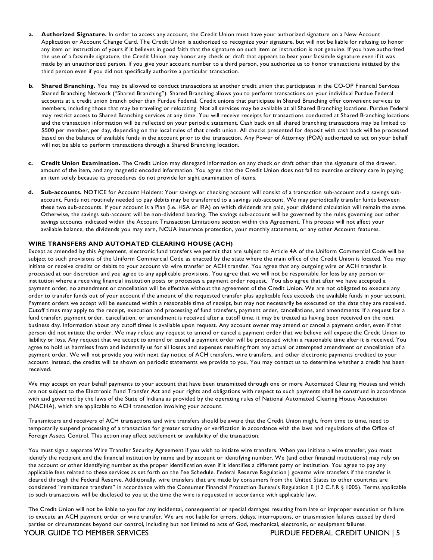- **a. Authorized Signature.** In order to access any account, the Credit Union must have your authorized signature on a New Account Application or Account Change Card. The Credit Union is authorized to recognize your signature, but will not be liable for refusing to honor any item or instruction of yours if it believes in good faith that the signature on such item or instruction is not genuine. If you have authorized the use of a facsimile signature, the Credit Union may honor any check or draft that appears to bear your facsimile signature even if it was made by an unauthorized person. If you give your account number to a third person, you authorize us to honor transactions initiated by the third person even if you did not specifically authorize a particular transaction.
- **b. Shared Branching.** You may be allowed to conduct transactions at another credit union that participates in the CO-OP Financial Services Shared Branching Network ("Shared Branching"). Shared Branching allows you to perform transactions on your individual Purdue Federal accounts at a credit union branch other than Purdue Federal. Credit unions that participate in Shared Branching offer convenient services to members, including those that may be traveling or relocating. Not all services may be available at all Shared Branching locations. Purdue Federal may restrict access to Shared Branching services at any time. You will receive receipts for transactions conducted at Shared Branching locations and the transaction information will be reflected on your periodic statement. Cash back on all shared branching transactions may be limited to \$500 per member, per day, depending on the local rules of that credit union. All checks presented for deposit with cash back will be processed based on the balance of available funds in the account prior to the transaction. Any Power of Attorney (POA) authorized to act on your behalf will not be able to perform transactions through a Shared Branching location.
- **c. Credit Union Examination.** The Credit Union may disregard information on any check or draft other than the signature of the drawer, amount of the item, and any magnetic encoded information. You agree that the Credit Union does not fail to exercise ordinary care in paying an item solely because its procedures do not provide for sight examination of items.
- **d. Sub-accounts.** NOTICE for Account Holders: Your savings or checking account will consist of a transaction sub-account and a savings sub- account. Funds not routinely needed to pay debits may be transferred to a savings sub-account. We may periodically transfer funds between these two sub-accounts. If your account is a Plan (i.e. HSA or IRA) on which dividends are paid, your dividend calculation will remain the same. Otherwise, the savings sub-account will be non-dividend bearing. The savings sub-account will be governed by the rules governing our other savings accounts indicated within the Account Transaction Limitations section within this Agreement. This process will not affect your available balance, the dividends you may earn, NCUA insurance protection, your monthly statement, or any other Account features.

#### **WIRE TRANSFERS AND AUTOMATED CLEARING HOUSE (ACH)**

 Except as amended by this Agreement, electronic fund transfers we permit that are subject to Article 4A of the Uniform Commercial Code will be subject to such provisions of the Uniform Commercial Code as enacted by the state where the main office of the Credit Union is located. You may initiate or receive credits or debits to your account via wire transfer or ACH transfer. You agree that any outgoing wire or ACH transfer is processed at our discretion and you agree to any applicable provisions. You agree that we will not be responsible for loss by any person or institution where a receiving financial institution posts or processes a payment order request. You also agree that after we have accepted a payment order, no amendment or cancellation will be effective without the agreement of the Credit Union. We are not obligated to execute any order to transfer funds out of your account if the amount of the requested transfer plus applicable fees exceeds the available funds in your account. Payment orders we accept will be executed within a reasonable time of receipt, but may not necessarily be executed on the date they are received. Cutoff times may apply to the receipt, execution and processing of fund transfers, payment order, cancellations, and amendments. If a request for a fund transfer, payment order, cancellation, or amendment is received after a cutoff time, it may be treated as having been received on the next business day. Information about any cutoff times is available upon request. Any account owner may amend or cancel a payment order, even if that person did not initiate the order. We may refuse any request to amend or cancel a payment order that we believe will expose the Credit Union to liability or loss. Any request that we accept to amend or cancel a payment order will be processed within a reasonable time after it is received. You agree to hold us harmless from and indemnify us for all losses and expenses resulting from any actual or attempted amendment or cancellation of a payment order. We will not provide you with next day notice of ACH transfers, wire transfers, and other electronic payments credited to your account. Instead, the credits will be shown on periodic statements we provide to you. You may contact us to determine whether a credit has been received.

 We may accept on your behalf payments to your account that have been transmitted through one or more Automated Clearing Houses and which are not subject to the Electronic Fund Transfer Act and your rights and obligations with respect to such payments shall be construed in accordance with and governed by the laws of the State of Indiana as provided by the operating rules of National Automated Clearing House Association (NACHA), which are applicable to ACH transaction involving your account.

 Transmitters and receivers of ACH transactions and wire transfers should be aware that the Credit Union might, from time to time, need to temporarily suspend processing of a transaction for greater scrutiny or verification in accordance with the laws and regulations of the Office of Foreign Assets Control. This action may affect settlement or availability of the transaction.

 You must sign a separate Wire Transfer Security Agreement if you wish to initiate wire transfers. When you initiate a wire transfer, you must identify the recipient and the financial institution by name and by account or identifying number. We (and other financial institutions) may rely on the account or other identifying number as the proper identification even if it identifies a different party or institution. You agree to pay any applicable fees related to these services as set forth on the Fee Schedule. Federal Reserve Regulation J governs wire transfers if the transfer is cleared through the Federal Reserve. Additionally, wire transfers that are made by consumers from the United States to other countries are considered "remittance transfers" in accordance with the Consumer Financial Protection Bureau's Regulation E (12 C.F.R § 1005). Terms applicable to such transactions will be disclosed to you at the time the wire is requested in accordance with applicable law.

 The Credit Union will not be liable to you for any incidental, consequential or special damages resulting from late or improper execution or failure to execute an ACH payment order or wire transfer. We are not liable for errors, delays, interruptions, or transmission failures caused by third parties or circumstances beyond our control, including but not limited to acts of God, mechanical, electronic, or equipment failures.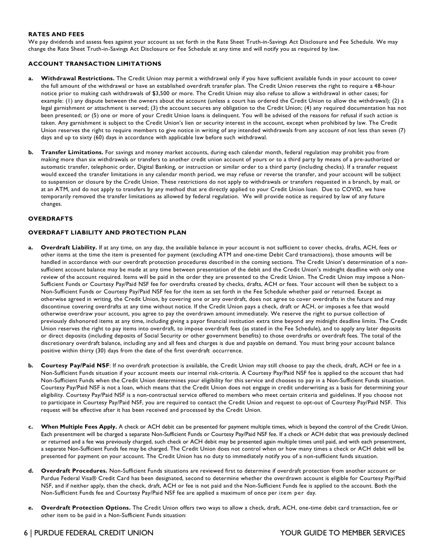#### **RATES AND FEES**

 We pay dividends and assess fees against your account as set forth in the Rate Sheet Truth-in-Savings Act Disclosure and Fee Schedule. We may change the Rate Sheet Truth-in-Savings Act Disclosure or Fee Schedule at any time and will notify you as required by law.

#### **ACCOUNT TRANSACTION LIMITATIONS**

- **a. Withdrawal Restrictions.** The Credit Union may permit a withdrawal only if you have sufficient available funds in your account to cover the full amount of the withdrawal or have an established overdraft transfer plan. The Credit Union reserves the right to require a 48-hour notice prior to making cash withdrawals of \$3,500 or more. The Credit Union may also refuse to allow a withdrawal in other cases; for example: (1) any dispute between the owners about the account (unless a court has ordered the Credit Union to allow the withdrawal); (2) a legal garnishment or attachment is served; (3) the account secures any obligation to the Credit Union; (4) any required documentation has not been presented; or (5) one or more of your Credit Union loans is delinquent. You will be advised of the reasons for refusal if such action is taken. Any garnishment is subject to the Credit Union's lien or security interest in the account, except when prohibited by law. The Credit Union reserves the right to require members to give notice in writing of any intended withdrawals from any account of not less than seven (7) days and up to sixty (60) days in accordance with applicable law before such withdrawal.
- **b. Transfer Limitations.** For savings and money market accounts, during each calendar month, federal regulation may prohibit you from making more than six withdrawals or transfers to another credit union account of yours or to a third party by means of a pre-authorized or automatic transfer, telephonic order, Digital Banking, or instruction or similar order to a third party (including checks). If a transfer request would exceed the transfer limitations in any calendar month period, we may refuse or reverse the transfer, and your account will be subject to suspension or closure by the Credit Union. These restrictions do not apply to withdrawals or transfers requested in a branch, by mail, or at an ATM, and do not apply to transfers by any method that are directly applied to your Credit Union loan. Due to COVID, we have temporarily removed the transfer limitations as allowed by federal regulation. We will provide notice as required by law of any future changes.

#### **OVERDRAFTS**

#### **OVERDRAFT LIABILITY AND PROTECTION PLAN**

- **a. Overdraft Liability.** If at any time, on any day, the available balance in your account is not sufficient to cover checks, drafts, ACH, fees or other items at the time the item is presented for payment (excluding ATM and one-time Debit Card transactions), those amounts will be handled in accordance with our overdraft protection procedures described in the coming sections. The Credit Union's determination of a non- sufficient account balance may be made at any time between presentation of the debit and the Credit Union's midnight deadline with only one review of the account required. Items will be paid in the order they are presented to the Credit Union. The Credit Union may impose a Non- Sufficient Funds or Courtesy Pay/Paid NSF fee for overdrafts created by checks, drafts, ACH or fees. Your account will then be subject to a Non-Sufficient Funds or Courtesy Pay/Paid NSF fee for the item as set forth in the Fee Schedule whether paid or returned. Except as otherwise agreed in writing, the Credit Union, by covering one or any overdraft, does not agree to cover overdrafts in the future and may discontinue covering overdrafts at any time without notice. If the Credit Union pays a check, draft or ACH, or imposes a fee that would otherwise overdraw your account, you agree to pay the overdrawn amount immediately. We reserve the right to pursue collection of previously dishonored items at any time, including giving a payor financial institution extra time beyond any midnight deadline limits. The Credit Union reserves the right to pay items into overdraft, to impose overdraft fees (as stated in the Fee Schedule), and to apply any later deposits or direct deposits (including deposits of Social Security or other government benefits) to those overdrafts or overdraft fees. The total of the discretionary overdraft balance, including any and all fees and charges is due and payable on demand. You must bring your account balance positive within thirty (30) days from the date of the first overdraft occurrence.
- **b. Courtesy Pay/Paid NSF**: If no overdraft protection is available, the Credit Union may still choose to pay the check, draft, ACH or fee in a Non-Sufficient Funds situation if your account meets our internal risk-criteria. A Courtesy Pay/Paid NSF fee is applied to the account that had Non-Sufficient Funds when the Credit Union determines your eligibility for this service and chooses to pay in a Non-Sufficient Funds situation. Courtesy Pay/Paid NSF is not a loan, which means that the Credit Union does not engage in credit underwriting as a basis for determining your eligibility. Courtesy Pay/Paid NSF is a non-contractual service offered to members who meet certain criteria and guidelines. If you choose not to participate in Courtesy Pay/Paid NSF, you are required to contact the Credit Union and request to opt-out of Courtesy Pay/Paid NSF. This request will be effective after it has been received and processed by the Credit Union.
- **c. When Multiple Fees Apply.** A check or ACH debit can be presented for payment multiple times, which is beyond the control of the Credit Union. Each presentment will be charged a separate Non-Sufficient Funds or Courtesy Pay/Paid NSF fee. If a check or ACH debit that was previously declined or returned and a fee was previously charged, such check or ACH debit may be presented again multiple times until paid, and with each presentment, a separate Non-Sufficient Funds fee may be charged. The Credit Union does not control when or how many times a check or ACH debit will be presented for payment on your account. The Credit Union has no duty to immediately notify you of a non-sufficient funds situation.
- **d. Overdraft Procedures.** Non-Sufficient Funds situations are reviewed first to determine if overdraft protection from another account or Purdue Federal Visa® Credit Card has been designated, second to determine whether the overdrawn account is eligible for Courtesy Pay/Paid NSF, and if neither apply, then the check, draft, ACH or fee is not paid and the Non-Sufficient Funds fee is applied to the account. Both the Non-Sufficient Funds fee and Courtesy Pay/Paid NSF fee are applied a maximum of once per item per day.
- **e. Overdraft Protection Options.** The Credit Union offers two ways to allow a check, draft, ACH, one-time debit card transaction, fee or other item to be paid in a Non-Sufficient Funds situation: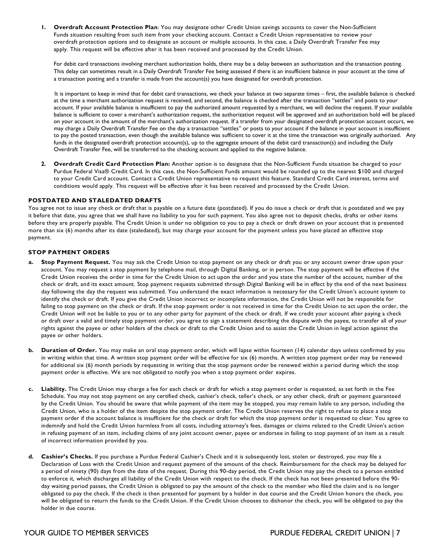**1. Overdraft Account Protection Plan**: You may designate other Credit Union savings accounts to cover the Non-Sufficient Funds situation resulting from such item from your checking account. Contact a Credit Union representative to review your overdraft protection options and to designate an account or multiple accounts. In this case, a Daily Overdraft Transfer Fee may apply. This request will be effective after it has been received and processed by the Credit Union.

 For debit card transactions involving merchant authorization holds, there may be a delay between an authorization and the transaction posting. This delay can sometimes result in a Daily Overdraft Transfer Fee being assessed if there is an insufficient balance in your account at the time of a transaction posting and a transfer is made from the account(s) you have designated for overdraft protection.

 It is important to keep in mind that for debit card transactions, we check your balance at two separate times – first, the available balance is checked at the time a merchant authorization request is received, and second, the balance is checked after the transaction "settles" and posts to your account. If your available balance is insufficient to pay the authorized amount requested by a merchant, we will decline the request. If your available balance is sufficient to cover a merchant's authorization request, the authorization request will be approved and an authorization hold will be placed on your account in the amount of the merchant's authorization request. If a transfer from your designated overdraft protection account occurs, we may charge a Daily Overdraft Transfer Fee on the day a transaction "settles" or posts to your account if the balance in your account is insufficient to pay the posted transaction, even though the available balance was sufficient to cover it at the time the transaction was originally authorized. Any funds in the designated overdraft protection account(s), up to the aggregate amount of the debit card transaction(s) and including the Daily Overdraft Transfer Fee, will be transferred to the checking account and applied to the negative balance.

 **2. Overdraft Credit Card Protection Plan:** Another option is to designate that the Non-Sufficient Funds situation be charged to your Purdue Federal Visa® Credit Card. In this case, the Non-Sufficient Funds amount would be rounded up to the nearest \$100 and charged to your Credit Card account. Contact a Credit Union representative to request this feature. Standard Credit Card interest, terms and conditions would apply. This request will be effective after it has been received and processed by the Credit Union.

#### **POSTDATED AND STALEDATED DRAFTS**

 You agree not to issue any check or draft that is payable on a future date (postdated). If you do issue a check or draft that is postdated and we pay it before that date, you agree that we shall have no liability to you for such payment. You also agree not to deposit checks, drafts or other items before they are properly payable. The Credit Union is under no obligation to you to pay a check or draft drawn on your account that is presented more than six (6) months after its date (staledated), but may charge your account for the payment unless you have placed an effective stop payment.

#### **STOP PAYMENT ORDERS**

- **a. Stop Payment Request.** You may ask the Credit Union to stop payment on any check or draft you or any account owner draw upon your account. You may request a stop payment by telephone mail, through Digital Banking, or in person. The stop payment will be effective if the Credit Union receives the order in time for the Credit Union to act upon the order and you state the number of the account, number of the check or draft, and its exact amount. Stop payment requests submitted through Digital Banking will be in effect by the end of the next business day following the day the request was submitted. You understand the exact information is necessary for the Credit Union's account system to identify the check or draft. If you give the Credit Union incorrect or incomplete information, the Credit Union will not be responsible for failing to stop payment on the check or draft. If the stop payment order is not received in time for the Credit Union to act upon the order, the Credit Union will not be liable to you or to any other party for payment of the check or draft. If we credit your account after paying a check or draft over a valid and timely stop payment order, you agree to sign a statement describing the dispute with the payee, to transfer all of your rights against the payee or other holders of the check or draft to the Credit Union and to assist the Credit Union in legal action against the payee or other holders.
- **b. Duration of Order.** You may make an oral stop payment order, which will lapse within fourteen (14) calendar days unless confirmed by you in writing within that time. A written stop payment order will be effective for six (6) months. A written stop payment order may be renewed for additional six (6) month periods by requesting in writing that the stop payment order be renewed within a period during which the stop payment order is effective. We are not obligated to notify you when a stop payment order expires.
- **c. Liability.** The Credit Union may charge a fee for each check or draft for which a stop payment order is requested, as set forth in the Fee Schedule. You may not stop payment on any certified check, cashier's check, teller's check, or any other check, draft or payment guaranteed by the Credit Union. You should be aware that while payment of the item may be stopped, you may remain liable to any person, including the Credit Union, who is a holder of the item despite the stop payment order. The Credit Union reserves the right to refuse to place a stop payment order if the account balance is insufficient for the check or draft for which the stop payment order is requested to clear. You agree to indemnify and hold the Credit Union harmless from all costs, including attorney's fees, damages or claims related to the Credit Union's action in refusing payment of an item, including claims of any joint account owner, payee or endorsee in failing to stop payment of an item as a result of incorrect information provided by you.
- **d. Cashier's Checks.** If you purchase a Purdue Federal Cashier's Check and it is subsequently lost, stolen or destroyed, you may file a Declaration of Loss with the Credit Union and request payment of the amount of the check. Reimbursement for the check may be delayed for a period of ninety (90) days from the date of the request. During this 90-day period, the Credit Union may pay the check to a person entitled to enforce it, which discharges all liability of the Credit Union with respect to the check. If the check has not been presented before the 90- day waiting period passes, the Credit Union is obligated to pay the amount of the check to the member who filed the claim and is no longer obligated to pay the check. If the check is then presented for payment by a holder in due course and the Credit Union honors the check, you will be obligated to return the funds to the Credit Union. If the Credit Union chooses to dishonor the check, you will be obligated to pay the holder in due course.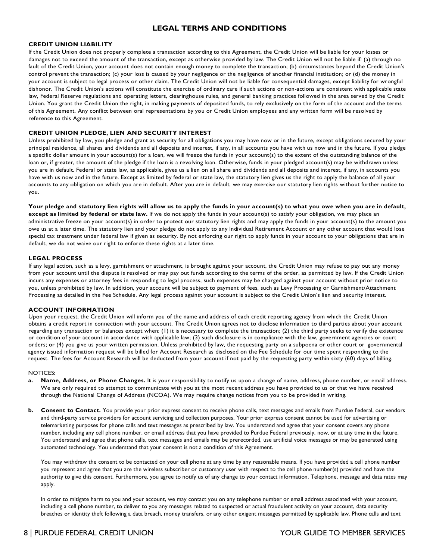## **LEGAL TERMS AND CONDITIONS**

#### **CREDIT UNION LIABILITY**

 If the Credit Union does not properly complete a transaction according to this Agreement, the Credit Union will be liable for your losses or damages not to exceed the amount of the transaction, except as otherwise provided by law. The Credit Union will not be liable if: (a) through no fault of the Credit Union, your account does not contain enough money to complete the transaction; (b) circumstances beyond the Credit Union's control prevent the transaction; (c) your loss is caused by your negligence or the negligence of another financial institution; or (d) the money in your account is subject to legal process or other claim. The Credit Union will not be liable for consequential damages, except liability for wrongful dishonor. The Credit Union's actions will constitute the exercise of ordinary care if such actions or non-actions are consistent with applicable state law, Federal Reserve regulations and operating letters, clearinghouse rules, and general banking practices followed in the area served by the Credit Union. You grant the Credit Union the right, in making payments of deposited funds, to rely exclusively on the form of the account and the terms of this Agreement. Any conflict between oral representations by you or Credit Union employees and any written form will be resolved by reference to this Agreement.

#### **CREDIT UNION PLEDGE, LIEN AND SECURITY INTEREST**

 Unless prohibited by law, you pledge and grant as security for all obligations you may have now or in the future, except obligations secured by your principal residence, all shares and dividends and all deposits and interest, if any, in all accounts you have with us now and in the future. If you pledge a specific dollar amount in your account(s) for a loan, we will freeze the funds in your account(s) to the extent of the outstanding balance of the loan or, if greater, the amount of the pledge if the loan is a revolving loan. Otherwise, funds in your pledged account(s) may be withdrawn unless you are in default. Federal or state law, as applicable, gives us a lien on all share and dividends and all deposits and interest, if any, in accounts you have with us now and in the future. Except as limited by federal or state law, the statutory lien gives us the right to apply the balance of all your accounts to any obligation on which you are in default. After you are in default, we may exercise our statutory lien rights without further notice to you.

 **Your pledge and statutory lien rights will allow us to apply the funds in your account(s) to what you owe when you are in default, except as limited by federal or state law.** If we do not apply the funds in your account(s) to satisfy your obligation, we may place an administrative freeze on your account(s) in order to protect our statutory lien rights and may apply the funds in your account(s) to the amount you owe us at a later time. The statutory lien and your pledge do not apply to any Individual Retirement Account or any other account that would lose special tax treatment under federal law if given as security. By not enforcing our right to apply funds in your account to your obligations that are in default, we do not waive our right to enforce these rights at a later time.

#### **LEGAL PROCESS**

 If any legal action, such as a levy, garnishment or attachment, is brought against your account, the Credit Union may refuse to pay out any money from your account until the dispute is resolved or may pay out funds according to the terms of the order, as permitted by law. If the Credit Union incurs any expenses or attorney fees in responding to legal process, such expenses may be charged against your account without prior notice to you, unless prohibited by law. In addition, your account will be subject to payment of fees, such as Levy Processing or Garnishment/Attachment Processing as detailed in the Fee Schedule. Any legal process against your account is subject to the Credit Union's lien and security interest.

#### **ACCOUNT INFORMATION**

 Upon your request, the Credit Union will inform you of the name and address of each credit reporting agency from which the Credit Union obtains a credit report in connection with your account. The Credit Union agrees not to disclose information to third parties about your account regarding any transaction or balances except when: (1) it is necessary to complete the transaction; (2) the third party seeks to verify the existence or condition of your account in accordance with applicable law; (3) such disclosure is in compliance with the law, government agencies or court orders; or (4) you give us your written permission. Unless prohibited by law, the requesting party on a subpoena or other court or governmental agency issued information request will be billed for Account Research as disclosed on the Fee Schedule for our time spent responding to the request. The fees for Account Research will be deducted from your account if not paid by the requesting party within sixty (60) days of billing.

#### NOTICES:

- **a. Name, Address, or Phone Changes.** It is your responsibility to notify us upon a change of name, address, phone number, or email address. We are only required to attempt to communicate with you at the most recent address you have provided to us or that we have received through the National Change of Address (NCOA). We may require change notices from you to be provided in writing.
- **b. Consent to Contact.** You provide your prior express consent to receive phone calls, text messages and emails from Purdue Federal, our vendors and third-party service providers for account servicing and collection purposes. Your prior express consent cannot be used for advertising or telemarketing purposes for phone calls and text messages as prescribed by law. You understand and agree that your consent covers any phone number, including any cell phone number, or email address that you have provided to Purdue Federal previously, now, or at any time in the future. You understand and agree that phone calls, text messages and emails may be prerecorded, use artificial voice messages or may be generated using automated technology. You understand that your consent is not a condition of this Agreement.

 You may withdraw the consent to be contacted on your cell phone at any time by any reasonable means. If you have provided a cell phone number you represent and agree that you are the wireless subscriber or customary user with respect to the cell phone number(s) provided and have the authority to give this consent. Furthermore, you agree to notify us of any change to your contact information. Telephone, message and data rates may apply.

In order to mitigate harm to you and your account, we may contact you on any telephone number or email address associated with your account, including a cell phone number, to deliver to you any messages related to suspected or actual fraudulent activity on your account, data security breaches or identity theft following a data breach, money transfers, or any other exigent messages permitted by applicable law. Phone calls and text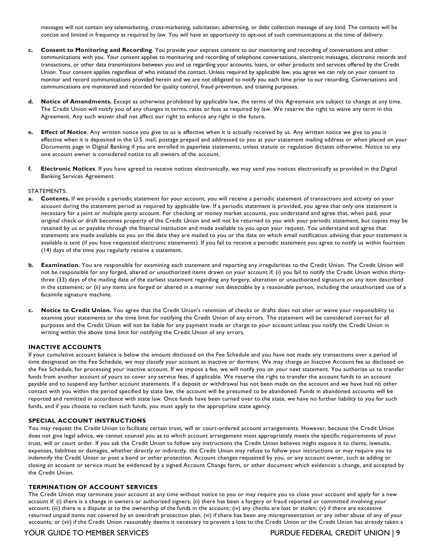messages will not contain any telemarketing, cross-marketing, solicitation, advertising, or debt collection message of any kind. The contacts will be concise and limited in frequency as required by law. You will have an opportunity to opt-out of such communications at the time of delivery.

- **c. Consent to Monitoring and Recording**. You provide your express consent to our monitoring and recording of conversations and other communications with you. Your consent applies to monitoring and recording of telephone conversations, electronic messages, electronic records and transactions, or other data transmissions between you and us regarding your accounts, loans, or other products and services offered by the Credit Union. Your consent applies regardless of who initiated the contact. Unless required by applicable law, you agree we can rely on your consent to monitor and record communications provided herein and we are not obligated to notify you each time prior to our recording. Conversations and communications are monitored and recorded for quality control, fraud prevention, and training purposes.
- **d. Notice of Amendments.** Except as otherwise prohibited by applicable law, the terms of this Agreement are subject to change at any time. The Credit Union will notify you of any changes in terms, rates or fees as required by law. We reserve the right to waive any term in this Agreement. Any such waiver shall not affect our right to enforce any right in the future.
- **e. Effect of Notice**. Any written notice you give to us is effective when it is actually received by us. Any written notice we give to you is effective when it is deposited in the U.S. mail, postage prepaid and addressed to you at your statement mailing address or when placed on your Documents page in Digital Banking if you are enrolled in paperless statements, unless statute or regulation dictates otherwise. Notice to any one account owner is considered notice to all owners of the account.
- **f. Electronic Notices**. If you have agreed to receive notices electronically, we may send you notices electronically as provided in the Digital Banking Services Agreement.

#### STATEMENTS:

- **a. Contents.** If we provide a periodic statement for your account, you will receive a periodic statement of transactions and activity on your account during the statement period as required by applicable law. If a periodic statement is provided, you agree that only one statement is necessary for a joint or multiple party account. For checking or money market accounts, you understand and agree that, when paid, your original check or draft becomes property of the Credit Union and will not be returned to you with your periodic statement, but copies may be retained by us or payable through the financial institution and made available to you upon your request. You understand and agree that statements are made available to you on the date they are mailed to you or the date on which email notification advising that your statement is available is sent (if you have requested electronic statements). If you fail to receive a periodic statement you agree to notify us within fourteen (14) days of the time you regularly receive a statement.
- **b. Examination.** You are responsible for examining each statement and reporting any irregularities to the Credit Union. The Credit Union will not be responsible for any forged, altered or unauthorized items drawn on your account if: (i) you fail to notify the Credit Union within thirty- three (33) days of the mailing date of the earliest statement regarding any forgery, alteration or unauthorized signature on any item described in the statement; or (ii) any items are forged or altered in a manner not detectable by a reasonable person, including the unauthorized use of a facsimile signature machine.
- **c. Notice to Credit Union.** You agree that the Credit Union's retention of checks or drafts does not alter or waive your responsibility to examine your statements or the time limit for notifying the Credit Union of any errors. The statement will be considered correct for all purposes and the Credit Union will not be liable for any payment made or charge to your account unless you notify the Credit Union in writing within the above time limit for notifying the Credit Union of any errors.

#### **INACTIVE ACCOUNTS**

 If your cumulative account balance is below the amount disclosed on the Fee Schedule and you have not made any transactions over a period of time designated on the Fee Schedule, we may classify your account as inactive or dormant. We may charge an Inactive Account fee as disclosed on the Fee Schedule, for processing your inactive account. If we impose a fee, we will notify you on your next statement. You authorize us to transfer funds from another account of yours to cover any service fees, if applicable. We reserve the right to transfer the account funds to an account payable and to suspend any further account statements. If a deposit or withdrawal has not been made on the account and we have had no other contact with you within the period specified by state law, the account will be presumed to be abandoned. Funds in abandoned accounts will be reported and remitted in accordance with state law. Once funds have been turned over to the state, we have no further liability to you for such funds, and if you choose to reclaim such funds, you must apply to the appropriate state agency.

#### **SPECIAL ACCOUNT INSTRUCTIONS**

 You may request the Credit Union to facilitate certain trust, will or court-ordered account arrangements. However, because the Credit Union does not give legal advice, we cannot counsel you as to which account arrangement most appropriately meets the specific requirements of your trust, will or court order. If you ask the Credit Union to follow any instructions the Credit Union believes might expose it to claims, lawsuits, expenses, liabilities or damages, whether directly or indirectly, the Credit Union may refuse to follow your instructions or may require you to indemnify the Credit Union or post a bond or other protection. Account changes requested by you, or any account owner, such as adding or closing an account or service must be evidenced by a signed Account Change form, or other document which evidences a change, and accepted by the Credit Union.

#### **TERMINATION OF ACCOUNT SERVICES**

 The Credit Union may terminate your account at any time without notice to you or may require you to close your account and apply for a new account if: (i) there is a change in owners or authorized signers; (ii) there has been a forgery or fraud reported or committed involving your account; (iii) there is a dispute as to the ownership of the funds in the account; (iv) any checks are lost or stolen; (v) if there are excessive returned unpaid items not covered by an overdraft protection plan; (vi) if there has been any misrepresentation or any other abuse of any of your accounts; or (vii) if the Credit Union reasonably deems it necessary to prevent a loss to the Credit Union or the Credit Union has already taken a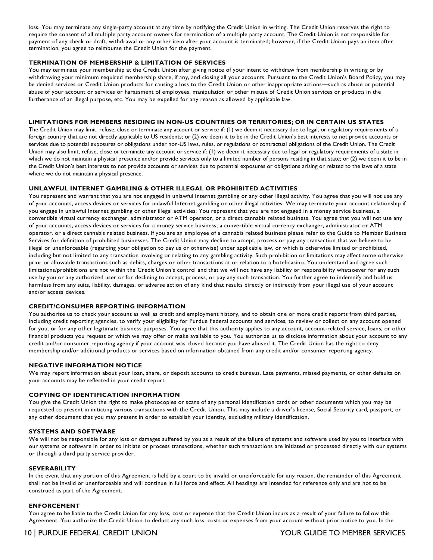loss. You may terminate any single-party account at any time by notifying the Credit Union in writing. The Credit Union reserves the right to require the consent of all multiple party account owners for termination of a multiple party account. The Credit Union is not responsible for payment of any check or draft, withdrawal or any other item after your account is terminated; however, if the Credit Union pays an item after termination, you agree to reimburse the Credit Union for the payment.

#### **TERMINATION OF MEMBERSHIP & LIMITATION OF SERVICES**

 You may terminate your membership at the Credit Union after giving notice of your intent to withdraw from membership in writing or by withdrawing your minimum required membership share, if any, and closing all your accounts. Pursuant to the Credit Union's Board Policy, you may be denied services or Credit Union products for causing a loss to the Credit Union or other inappropriate actions—such as abuse or potential abuse of your account or services or harassment of employees, manipulation or other misuse of Credit Union services or products in the furtherance of an illegal purpose, etc. You may be expelled for any reason as allowed by applicable law.

#### **LIMITATIONS FOR MEMBERS RESIDING IN NON-US COUNTRIES OR TERRITORIES; OR IN CERTAIN US STATES**

 The Credit Union may limit, refuse, close or terminate any account or service if: (1) we deem it necessary due to legal, or regulatory requirements of a foreign country that are not directly applicable to US residents; or (2) we deem it to be in the Credit Union's best interests to not provide accounts or services due to potential exposures or obligations under non-US laws, rules, or regulations or contractual obligations of the Credit Union. The Credit Union may also limit, refuse, close or terminate any account or service if: (1) we deem it necessary due to legal or regulatory requirements of a state in which we do not maintain a physical presence and/or provide services only to a limited number of persons residing in that state; or (2) we deem it to be in the Credit Union's best interests to not provide accounts or services due to potential exposures or obligations arising or related to the laws of a state where we do not maintain a physical presence.

#### **UNLAWFUL INTERNET GAMBLING & OTHER ILLEGAL OR PROHIBITED ACTIVITIES**

 You represent and warrant that you are not engaged in unlawful Internet gambling or any other illegal activity. You agree that you will not use any of your accounts, access devices or services for unlawful Internet gambling or other illegal activities. We may terminate your account relationship if you engage in unlawful Internet gambling or other illegal activities. You represent that you are not engaged in a money service business, a convertible virtual currency exchanger, administrator or ATM operator, or a direct cannabis related business. You agree that you will not use any of your accounts, access devices or services for a money service business, a convertible virtual currency exchanger, administrator or ATM operator, or a direct cannabis related business. If you are an employee of a cannabis related business please refer to the Guide to Member Business Services for definition of prohibited businesses. The Credit Union may decline to accept, process or pay any transaction that we believe to be illegal or unenforceable (regarding your obligation to pay us or otherwise) under applicable law, or which is otherwise limited or prohibited, including but not limited to any transaction involving or relating to any gambling activity. Such prohibition or limitations may affect some otherwise prior or allowable transactions such as debits, charges or other transactions at or relation to a hotel-casino. You understand and agree such limitations/prohibitions are not within the Credit Union's control and that we will not have any liability or responsibility whatsoever for any such use by you or any authorized user or for declining to accept, process, or pay any such transaction. You further agree to indemnify and hold us harmless from any suits, liability, damages, or adverse action of any kind that results directly or indirectly from your illegal use of your account and/or access devices.

#### **CREDIT/CONSUMER REPORTING INFORMATION**

 You authorize us to check your account as well as credit and employment history, and to obtain one or more credit reports from third parties, including credit reporting agencies, to verify your eligibility for Purdue Federal accounts and services, to review or collect on any account opened for you, or for any other legitimate business purposes. You agree that this authority applies to any account, account-related service, loans, or other financial products you request or which we may offer or make available to you. You authorize us to disclose information about your account to any credit and/or consumer reporting agency if your account was closed because you have abused it. The Credit Union has the right to deny membership and/or additional products or services based on information obtained from any credit and/or consumer reporting agency.

#### **NEGATIVE INFORMATION NOTICE**

 We may report information about your loan, share, or deposit accounts to credit bureaus. Late payments, missed payments, or other defaults on your accounts may be reflected in your credit report.

#### **COPYING OF IDENTIFICATION INFORMATION**

 You give the Credit Union the right to make photocopies or scans of any personal identification cards or other documents which you may be requested to present in initiating various transactions with the Credit Union. This may include a driver's license, Social Security card, passport, or any other document that you may present in order to establish your identity, excluding military identification.

#### **SYSTEMS AND SOFTWARE**

 We will not be responsible for any loss or damages suffered by you as a result of the failure of systems and software used by you to interface with our systems or software in order to initiate or process transactions, whether such transactions are initiated or processed directly with our systems or through a third party service provider.

#### **SEVERABILITY**

 In the event that any portion of this Agreement is held by a court to be invalid or unenforceable for any reason, the remainder of this Agreement shall not be invalid or unenforceable and will continue in full force and effect. All headings are intended for reference only and are not to be construed as part of the Agreement.

#### **ENFORCEMENT**

 You agree to be liable to the Credit Union for any loss, cost or expense that the Credit Union incurs as a result of your failure to follow this Agreement. You authorize the Credit Union to deduct any such loss, costs or expenses from your account without prior notice to you. In the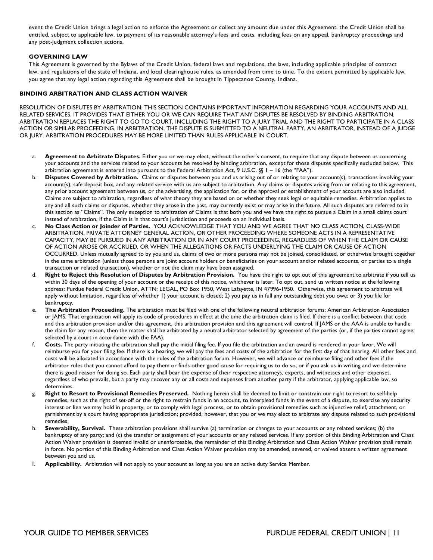event the Credit Union brings a legal action to enforce the Agreement or collect any amount due under this Agreement, the Credit Union shall be entitled, subject to applicable law, to payment of its reasonable attorney's fees and costs, including fees on any appeal, bankruptcy proceedings and any post-judgment collection actions.

#### **GOVERNING LAW**

 This Agreement is governed by the Bylaws of the Credit Union, federal laws and regulations, the laws, including applicable principles of contract law, and regulations of the state of Indiana, and local clearinghouse rules, as amended from time to time. To the extent permitted by applicable law, you agree that any legal action regarding this Agreement shall be brought in Tippecanoe County, Indiana.

#### **BINDING ARBITRATION AND CLASS ACTION WAIVER**

 RESOLUTION OF DISPUTES BY ARBITRATION: THIS SECTION CONTAINS IMPORTANT INFORMATION REGARDING YOUR ACCOUNTS AND ALL RELATED SERVICES. IT PROVIDES THAT EITHER YOU OR WE CAN REQUIRE THAT ANY DISPUTES BE RESOLVED BY BINDING ARBITRATION. ARBITRATION REPLACES THE RIGHT TO GO TO COURT, INCLUDING THE RIGHT TO A JURY TRIAL AND THE RIGHT TO PARTICIPATE IN A CLASS ACTION OR SIMILAR PROCEEDING. IN ARBITRATION, THE DISPUTE IS SUBMITTED TO A NEUTRAL PARTY, AN ARBITRATOR, INSTEAD OF A JUDGE OR JURY. ARBITRATION PROCEDURES MAY BE MORE LIMITED THAN RULES APPLICABLE IN COURT.

- a. **Agreement to Arbitrate Disputes.** Either you or we may elect, without the other's consent, to require that any dispute between us concerning your accounts and the services related to your accounts be resolved by binding arbitration, except for those disputes specifically excluded below. This arbitration agreement is entered into pursuant to the Federal Arbitration Act, 9 U.S.C. §§ 1 – 16 (the "FAA").
- b. **Disputes Covered by Arbitration.** Claims or disputes between you and us arising out of or relating to your account(s), transactions involving your account(s), safe deposit box, and any related service with us are subject to arbitration. Any claims or disputes arising from or relating to this agreement, any prior account agreement between us, or the advertising, the application for, or the approval or establishment of your account are also included. Claims are subject to arbitration, regardless of what theory they are based on or whether they seek legal or equitable remedies. Arbitration applies to any and all such claims or disputes, whether they arose in the past, may currently exist or may arise in the future. All such disputes are referred to in this section as "Claims". The only exception to arbitration of Claims is that both you and we have the right to pursue a Claim in a small claims court instead of arbitration, if the Claim is in that court's jurisdiction and proceeds on an individual basis.
- c. **No Class Action or Joinder of Parties.** YOU ACKNOWLEDGE THAT YOU AND WE AGREE THAT NO CLASS ACTION, CLASS-WIDE ARBITRATION, PRIVATE ATTORNEY GENERAL ACTION, OR OTHER PROCEEDING WHERE SOMEONE ACTS IN A REPRESENTATIVE CAPACITY, MAY BE PURSUED IN ANY ARBITRATION OR IN ANY COURT PROCEEDING, REGARDLESS OF WHEN THE CLAIM OR CAUSE OF ACTION AROSE OR ACCRUED, OR WHEN THE ALLEGATIONS OR FACTS UNDERLYING THE CLAIM OR CAUSE OF ACTION OCCURRED. Unless mutually agreed to by you and us, claims of two or more persons may not be joined, consolidated, or otherwise brought together in the same arbitration (unless those persons are joint account holders or beneficiaries on your account and/or related accounts, or parties to a single transaction or related transaction), whether or not the claim may have been assigned.
- d. **Right to Reject this Resolution of Disputes by Arbitration Provision.** You have the right to opt out of this agreement to arbitrate if you tell us within 30 days of the opening of your account or the receipt of this notice, whichever is later. To opt out, send us written notice at the following address: Purdue Federal Credit Union, ATTN: LEGAL, PO Box 1950, West Lafayette, IN 47996-1950. Otherwise, this agreement to arbitrate will apply without limitation, regardless of whether 1) your account is closed; 2) you pay us in full any outstanding debt you owe; or 3) you file for bankruptcy.
- e. **The Arbitration Proceeding.** The arbitration must be filed with one of the following neutral arbitration forums: American Arbitration Association or JAMS. That organization will apply its code of procedures in effect at the time the arbitration claim is filed. If there is a conflict between that code and this arbitration provision and/or this agreement, this arbitration provision and this agreement will control. If JAMS or the AAA is unable to handle the claim for any reason, then the matter shall be arbitrated by a neutral arbitrator selected by agreement of the parties (or, if the parties cannot agree, selected by a court in accordance with the FAA).
- f. **Costs.** The party initiating the arbitration shall pay the initial filing fee. If you file the arbitration and an award is rendered in your favor, We will reimburse you for your filing fee. If there is a hearing, we will pay the fees and costs of the arbitration for the first day of that hearing. All other fees and costs will be allocated in accordance with the rules of the arbitration forum. However, we will advance or reimburse filing and other fees if the arbitrator rules that you cannot afford to pay them or finds other good cause for requiring us to do so, or if you ask us in writing and we determine there is good reason for doing so. Each party shall bear the expense of their respective attorneys, experts, and witnesses and other expenses, regardless of who prevails, but a party may recover any or all costs and expenses from another party if the arbitrator, applying applicable law, so determines.
- g. **Right to Resort to Provisional Remedies Preserved.** Nothing herein shall be deemed to limit or constrain our right to resort to self-help remedies, such as the right of set-off or the right to restrain funds in an account, to interplead funds in the event of a dispute, to exercise any security interest or lien we may hold in property, or to comply with legal process, or to obtain provisional remedies such as injunctive relief, attachment, or garnishment by a court having appropriate jurisdiction; provided, however, that you or we may elect to arbitrate any dispute related to such provisional remedies.
- h. **Severability, Survival.** These arbitration provisions shall survive (a) termination or changes to your accounts or any related services; (b) the bankruptcy of any party; and (c) the transfer or assignment of your accounts or any related services. If any portion of this Binding Arbitration and Class Action Waiver provision is deemed invalid or unenforceable, the remainder of this Binding Arbitration and Class Action Waiver provision shall remain in force. No portion of this Binding Arbitration and Class Action Waiver provision may be amended, severed, or waived absent a written agreement between you and us.
- i. **Applicability.** Arbitration will not apply to your account as long as you are an active duty Service Member.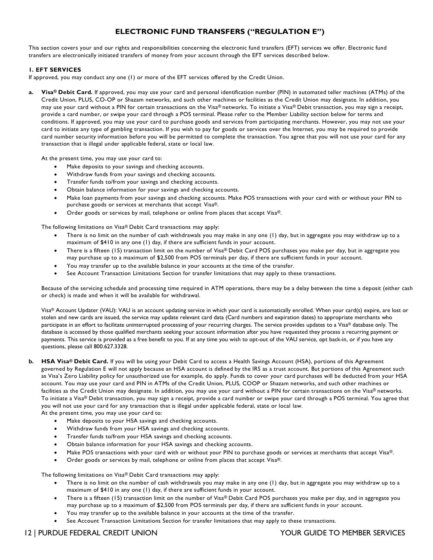# **ELECTRONIC FUND TRANSFERS ("REGULATION E")**

 This section covers your and our rights and responsibilities concerning the electronic fund transfers (EFT) services we offer. Electronic fund transfers are electronically initiated transfers of money from your account through the EFT services described below.

#### **1. EFT SERVICES**

If approved, you may conduct any one (1) or more of the EFT services offered by the Credit Union.

 **a. Visa® Debit Card.** If approved, you may use your card and personal identification number (PIN) in automated teller machines (ATMs) of the Credit Union, PLUS, CO-OP or Shazam networks, and such other machines or facilities as the Credit Union may designate. In addition, you may use your card without a PIN for certain transactions on the Visa® networks. To initiate a Visa® Debit transaction, you may sign a receipt, provide a card number, or swipe your card through a POS terminal. Please refer to the Member Liability section below for terms and conditions. If approved, you may use your card to purchase goods and services from participating merchants. However, you may not use your card to initiate any type of gambling transaction. If you wish to pay for goods or services over the Internet, you may be required to provide card number security information before you will be permitted to complete the transaction. You agree that you will not use your card for any transaction that is illegal under applicable federal, state or local law.

At the present time, you may use your card to:

- Make deposits to your savings and checking accounts.
- Withdraw funds from your savings and checking accounts.
- Transfer funds to/from your savings and checking accounts.
- Obtain balance information for your savings and checking accounts.
- • Make loan payments from your savings and checking accounts. Make POS transactions with your card with or without your PIN to purchase goods or services at merchants that accept Visa®.
- Order goods or services by mail, telephone or online from places that accept Visa®.

The following limitations on Visa® Debit Card transactions may apply:

- • There is no limit on the number of cash withdrawals you may make in any one (1) day, but in aggregate you may withdraw up to a maximum of \$410 in any one (1) day, if there are sufficient funds in your account.
- • There is a fifteen (15) transaction limit on the number of Visa® Debit Card POS purchases you make per day, but in aggregate you may purchase up to a maximum of \$2,500 from POS terminals per day, if there are sufficient funds in your account.
- You may transfer up to the available balance in your accounts at the time of the transfer.
- See Account Transaction Limitations Section for transfer limitations that may apply to these transactions.

 Because of the servicing schedule and processing time required in ATM operations, there may be a delay between the time a deposit (either cash or check) is made and when it will be available for withdrawal.

 Visa® Account Updater (VAU): VAU is an account updating service in which your card is automatically enrolled. When your card(s) expire, are lost or stolen and new cards are issued, the service may update relevant card data (Card numbers and expiration dates) to appropriate merchants who participate in an effort to facilitate uninterrupted processing of your recurring charges. The service provides updates to a Visa® database only. The database is accessed by those qualified merchants seeking your account information after you have requested they process a recurring payment or payments. This service is provided as a free benefit to you. If at any time you wish to opt-out of the VAU service, opt back-in, or if you have any questions, please call 800.627.3328.

- **b. HSA Visa® Debit Card.** If you will be using your Debit Card to access a Health Savings Account (HSA), portions of this Agreement governed by Regulation E will not apply because an HSA account is defined by the IRS as a trust account. But portions of this Agreement such as Visa's Zero Liability policy for unauthorized use for example, do apply. Funds to cover your card purchases will be deducted from your HSA account. You may use your card and PIN in ATMs of the Credit Union, PLUS, COOP or Shazam networks, and such other machines or facilities as the Credit Union may designate. In addition, you may use your card without a PIN for certain transactions on the Visa® networks. To initiate a Visa® Debit transaction, you may sign a receipt, provide a card number or swipe your card through a POS terminal. You agree that you will not use your card for any transaction that is illegal under applicable federal, state or local law.
	- At the present time, you may use your card to:
		- Make deposits to your HSA savings and checking accounts.
		- Withdraw funds from your HSA savings and checking accounts.
		- Transfer funds to/from your HSA savings and checking accounts.
		- Obtain balance information for your HSA savings and checking accounts.
		- Make POS transactions with your card with or without your PIN to purchase goods or services at merchants that accept Visa®.
		- Order goods or services by mail, telephone or online from places that accept Visa®.

The following limitations on Visa® Debit Card transactions may apply:

- • There is no limit on the number of cash withdrawals you may make in any one (1) day, but in aggregate you may withdraw up to a maximum of \$410 in any one (1) day, if there are sufficient funds in your account.
- • There is a fifteen (15) transaction limit on the number of Visa® Debit Card POS purchases you make per day, and in aggregate you may purchase up to a maximum of \$2,500 from POS terminals per day, if there are sufficient funds in your account.
- You may transfer up to the available balance in your accounts at the time of the transfer.
- See Account Transaction Limitations Section for transfer limitations that may apply to these transactions.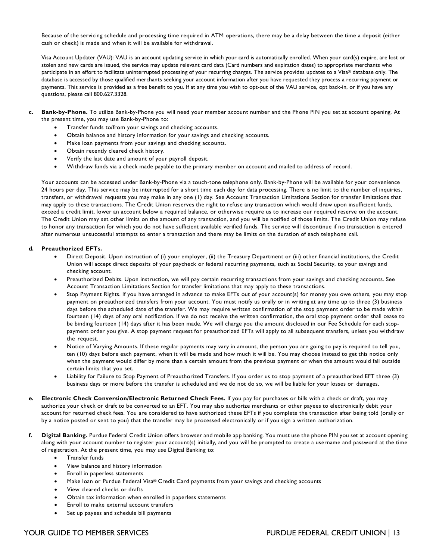Because of the servicing schedule and processing time required in ATM operations, there may be a delay between the time a deposit (either cash or check) is made and when it will be available for withdrawal.

 Visa Account Updater (VAU): VAU is an account updating service in which your card is automatically enrolled. When your card(s) expire, are lost or stolen and new cards are issued, the service may update relevant card data (Card numbers and expiration dates) to appropriate merchants who participate in an effort to facilitate uninterrupted processing of your recurring charges. The service provides updates to a Visa® database only. The database is accessed by those qualified merchants seeking your account information after you have requested they process a recurring payment or payments. This service is provided as a free benefit to you. If at any time you wish to opt-out of the VAU service, opt back-in, or if you have any questions, please call 800.627.3328.

- **c. Bank-by-Phone.** To utilize Bank-by-Phone you will need your member account number and the Phone PIN you set at account opening. At the present time, you may use Bank-by-Phone to:
	- Transfer funds to/from your savings and checking accounts.
	- Obtain balance and history information for your savings and checking accounts.
	- Make loan payments from your savings and checking accounts.
	- Obtain recently cleared check history.
	- Verify the last date and amount of your payroll deposit.
	- Withdraw funds via a check made payable to the primary member on account and mailed to address of record.

 Your accounts can be accessed under Bank-by-Phone via a touch-tone telephone only. Bank-by-Phone will be available for your convenience 24 hours per day. This service may be interrupted for a short time each day for data processing. There is no limit to the number of inquiries, transfers, or withdrawal requests you may make in any one (1) day. See Account Transaction Limitations Section for transfer limitations that may apply to these transactions. The Credit Union reserves the right to refuse any transaction which would draw upon insufficient funds, exceed a credit limit, lower an account below a required balance, or otherwise require us to increase our required reserve on the account. The Credit Union may set other limits on the amount of any transaction, and you will be notified of those limits. The Credit Union may refuse to honor any transaction for which you do not have sufficient available verified funds. The service will discontinue if no transaction is entered after numerous unsuccessful attempts to enter a transaction and there may be limits on the duration of each telephone call.

#### **d. Preauthorized EFTs.**

- • Direct Deposit. Upon instruction of (i) your employer, (ii) the Treasury Department or (iii) other financial institutions, the Credit Union will accept direct deposits of your paycheck or federal recurring payments, such as Social Security, to your savings and checking account.
- • Preauthorized Debits. Upon instruction, we will pay certain recurring transactions from your savings and checking accounts. See Account Transaction Limitations Section for transfer limitations that may apply to these transactions.
- • Stop Payment Rights. If you have arranged in advance to make EFTs out of your account(s) for money you owe others, you may stop payment on preauthorized transfers from your account. You must notify us orally or in writing at any time up to three (3) business days before the scheduled date of the transfer. We may require written confirmation of the stop payment order to be made within fourteen (14) days of any oral notification. If we do not receive the written confirmation, the oral stop payment order shall cease to be binding fourteen (14) days after it has been made. We will charge you the amount disclosed in our Fee Schedule for each stop- payment order you give. A stop payment request for preauthorized EFTs will apply to all subsequent transfers, unless you withdraw the request.
- • Notice of Varying Amounts. If these regular payments may vary in amount, the person you are going to pay is required to tell you, ten (10) days before each payment, when it will be made and how much it will be. You may choose instead to get this notice only when the payment would differ by more than a certain amount from the previous payment or when the amount would fall outside certain limits that you set.
- • Liability for Failure to Stop Payment of Preauthorized Transfers. If you order us to stop payment of a preauthorized EFT three (3) business days or more before the transfer is scheduled and we do not do so, we will be liable for your losses or damages.
- **e. Electronic Check Conversion/Electronic Returned Check Fees.** If you pay for purchases or bills with a check or draft, you may authorize your check or draft to be converted to an EFT. You may also authorize merchants or other payees to electronically debit your account for returned check fees. You are considered to have authorized these EFTs if you complete the transaction after being told (orally or by a notice posted or sent to you) that the transfer may be processed electronically or if you sign a written authorization.
- **f. Digital Banking.** Purdue Federal Credit Union offers browser and mobile app banking. You must use the phone PIN you set at account opening along with your account number to register your account(s) initially, and you will be prompted to create a username and password at the time of registration. At the present time, you may use Digital Banking to:
	- Transfer funds
	- View balance and history information
	- Enroll in paperless statements
	- Make loan or Purdue Federal Visa® Credit Card payments from your savings and checking accounts
	- View cleared checks or drafts
	- Obtain tax information when enrolled in paperless statements
	- Enroll to make external account transfers
	- Set up payees and schedule bill payments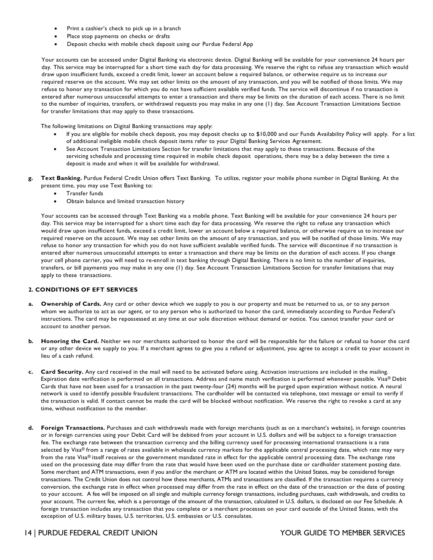- Print a cashier's check to pick up in a branch
- Place stop payments on checks or drafts
- Deposit checks with mobile check deposit using our Purdue Federal App

 Your accounts can be accessed under Digital Banking via electronic device. Digital Banking will be available for your convenience 24 hours per day. This service may be interrupted for a short time each day for data processing. We reserve the right to refuse any transaction which would draw upon insufficient funds, exceed a credit limit, lower an account below a required balance, or otherwise require us to increase our required reserve on the account. We may set other limits on the amount of any transaction, and you will be notified of those limits. We may refuse to honor any transaction for which you do not have sufficient available verified funds. The service will discontinue if no transaction is entered after numerous unsuccessful attempts to enter a transaction and there may be limits on the duration of each access. There is no limit to the number of inquiries, transfers, or withdrawal requests you may make in any one (1) day. See Account Transaction Limitations Section for transfer limitations that may apply to these transactions.

The following limitations on Digital Banking transactions may apply:

- • If you are eligible for mobile check deposit, you may deposit checks up to \$10,000 and our Funds Availability Policy will apply. For a list of additional ineligible mobile check deposit items refer to your Digital Banking Services Agreement.
- • See Account Transaction Limitations Section for transfer limitations that may apply to these transactions. Because of the servicing schedule and processing time required in mobile check deposit operations, there may be a delay between the time a deposit is made and when it will be available for withdrawal.
- **g. Text Banking.** Purdue Federal Credit Union offers Text Banking. To utilize, register your mobile phone number in Digital Banking. At the present time, you may use Text Banking to:
	- Transfer funds
	- Obtain balance and limited transaction history

 Your accounts can be accessed through Text Banking via a mobile phone. Text Banking will be available for your convenience 24 hours per day. This service may be interrupted for a short time each day for data processing. We reserve the right to refuse any transaction which would draw upon insufficient funds, exceed a credit limit, lower an account below a required balance, or otherwise require us to increase our required reserve on the account. We may set other limits on the amount of any transaction, and you will be notified of those limits. We may refuse to honor any transaction for which you do not have sufficient available verified funds. The service will discontinue if no transaction is entered after numerous unsuccessful attempts to enter a transaction and there may be limits on the duration of each access. If you change your cell phone carrier, you will need to re-enroll in text banking through Digital Banking. There is no limit to the number of inquiries, transfers, or bill payments you may make in any one (1) day. See Account Transaction Limitations Section for transfer limitations that may apply to these transactions.

#### **2. CONDITIONS OF EFT SERVICES**

- **a. Ownership of Cards.** Any card or other device which we supply to you is our property and must be returned to us, or to any person whom we authorize to act as our agent, or to any person who is authorized to honor the card, immediately according to Purdue Federal's instructions. The card may be repossessed at any time at our sole discretion without demand or notice. You cannot transfer your card or account to another person.
- **b. Honoring the Card.** Neither we nor merchants authorized to honor the card will be responsible for the failure or refusal to honor the card or any other device we supply to you. If a merchant agrees to give you a refund or adjustment, you agree to accept a credit to your account in lieu of a cash refund.
- **c. Card Security.** Any card received in the mail will need to be activated before using. Activation instructions are included in the mailing. Expiration date verification is performed on all transactions. Address and name match verification is performed whenever possible. Visa® Debit Cards that have not been used for a transaction in the past twenty-four (24) months will be purged upon expiration without notice. A neural network is used to identify possible fraudulent transactions. The cardholder will be contacted via telephone, text message or email to verify if the transaction is valid. If contact cannot be made the card will be blocked without notification. We reserve the right to revoke a card at any time, without notification to the member.
- **d. Foreign Transactions.** Purchases and cash withdrawals made with foreign merchants (such as on a merchant's website), in foreign countries or in foreign currencies using your Debit Card will be debited from your account in U.S. dollars and will be subject to a foreign transaction fee. The exchange rate between the transaction currency and the billing currency used for processing international transactions is a rate selected by Visa® from a range of rates available in wholesale currency markets for the applicable central processing date, which rate may vary from the rate Visa® itself receives or the government mandated rate in effect for the applicable central processing date. The exchange rate used on the processing date may differ from the rate that would have been used on the purchase date or cardholder statement posting date. Some merchant and ATM transactions, even if you and/or the merchant or ATM are located within the United States, may be considered foreign transactions. The Credit Union does not control how these merchants, ATMs and transactions are classified. If the transaction requires a currency conversion, the exchange rate in effect when processed may differ from the rate in effect on the date of the transaction or the date of posting to your account. A fee will be imposed on all single and multiple currency foreign transactions, including purchases, cash withdrawals, and credits to your account. The current fee, which is a percentage of the amount of the transaction, calculated in U.S. dollars, is disclosed on our Fee Schedule. A foreign transaction includes any transaction that you complete or a merchant processes on your card outside of the United States, with the exception of U.S. military bases, U.S. territories, U.S. embassies or U.S. consulates.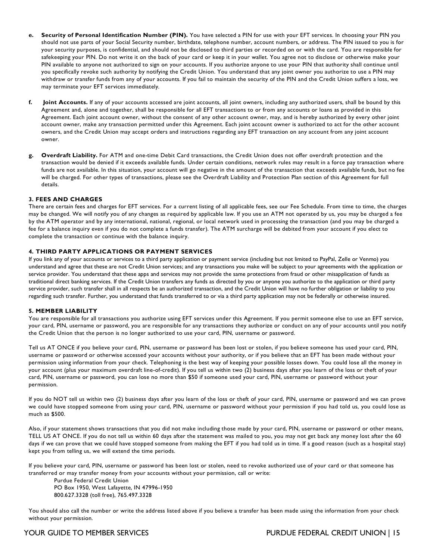- **e. Security of Personal Identification Number (PIN).** You have selected a PIN for use with your EFT services. In choosing your PIN you should not use parts of your Social Security number, birthdate, telephone number, account numbers, or address. The PIN issued to you is for your security purposes, is confidential, and should not be disclosed to third parties or recorded on or with the card. You are responsible for safekeeping your PIN. Do not write it on the back of your card or keep it in your wallet. You agree not to disclose or otherwise make your PIN available to anyone not authorized to sign on your accounts. If you authorize anyone to use your PIN that authority shall continue until you specifically revoke such authority by notifying the Credit Union. You understand that any joint owner you authorize to use a PIN may withdraw or transfer funds from any of your accounts. If you fail to maintain the security of the PIN and the Credit Union suffers a loss, we may terminate your EFT services immediately.
- **f. Joint Accounts.** If any of your accounts accessed are joint accounts, all joint owners, including any authorized users, shall be bound by this Agreement and, alone and together, shall be responsible for all EFT transactions to or from any accounts or loans as provided in this Agreement. Each joint account owner, without the consent of any other account owner, may, and is hereby authorized by every other joint account owner, make any transaction permitted under this Agreement. Each joint account owner is authorized to act for the other account owners, and the Credit Union may accept orders and instructions regarding any EFT transaction on any account from any joint account owner.
- **g. Overdraft Liability.** For ATM and one-time Debit Card transactions, the Credit Union does not offer overdraft protection and the transaction would be denied if it exceeds available funds. Under certain conditions, network rules may result in a force pay transaction where funds are not available. In this situation, your account will go negative in the amount of the transaction that exceeds available funds, but no fee will be charged. For other types of transactions, please see the Overdraft Liability and Protection Plan section of this Agreement for full details.

#### **3. FEES AND CHARGES**

 There are certain fees and charges for EFT services. For a current listing of all applicable fees, see our Fee Schedule. From time to time, the charges may be changed. We will notify you of any changes as required by applicable law. If you use an ATM not operated by us, you may be charged a fee by the ATM operator and by any international, national, regional, or local network used in processing the transaction (and you may be charged a fee for a balance inquiry even if you do not complete a funds transfer). The ATM surcharge will be debited from your account if you elect to complete the transaction or continue with the balance inquiry.

#### **4. THIRD PARTY APPLICATIONS OR PAYMENT SERVICES**

 If you link any of your accounts or services to a third party application or payment service (including but not limited to PayPal, Zelle or Venmo) you understand and agree that these are not Credit Union services; and any transactions you make will be subject to your agreements with the application or service provider. You understand that these apps and services may not provide the same protections from fraud or other misapplication of funds as traditional direct banking services. If the Credit Union transfers any funds as directed by you or anyone you authorize to the application or third party service provider, such transfer shall in all respects be an authorized transaction, and the Credit Union will have no further obligation or liability to you regarding such transfer. Further, you understand that funds transferred to or via a third party application may not be federally or otherwise insured.

#### **5. MEMBER LIABILITY**

 You are responsible for all transactions you authorize using EFT services under this Agreement. If you permit someone else to use an EFT service, your card, PIN, username or password, you are responsible for any transactions they authorize or conduct on any of your accounts until you notify the Credit Union that the person is no longer authorized to use your card, PIN, username or password.

 Tell us AT ONCE if you believe your card, PIN, username or password has been lost or stolen, if you believe someone has used your card, PIN, username or password or otherwise accessed your accounts without your authority, or if you believe that an EFT has been made without your permission using information from your check. Telephoning is the best way of keeping your possible losses down. You could lose all the money in your account (plus your maximum overdraft line-of-credit). If you tell us within two (2) business days after you learn of the loss or theft of your card, PIN, username or password, you can lose no more than \$50 if someone used your card, PIN, username or password without your permission.

 If you do NOT tell us within two (2) business days after you learn of the loss or theft of your card, PIN, username or password and we can prove we could have stopped someone from using your card, PIN, username or password without your permission if you had told us, you could lose as much as \$500.

 Also, if your statement shows transactions that you did not make including those made by your card, PIN, username or password or other means, TELL US AT ONCE. If you do not tell us within 60 days after the statement was mailed to you, you may not get back any money lost after the 60 days if we can prove that we could have stopped someone from making the EFT if you had told us in time. If a good reason (such as a hospital stay) kept you from telling us, we will extend the time periods.

 If you believe your card, PIN, username or password has been lost or stolen, need to revoke authorized use of your card or that someone has transferred or may transfer money from your accounts without your permission, call or write:

 Purdue Federal Credit Union PO Box 1950, West Lafayette, IN 47996-1950 800.627.3328 (toll free), 765.497.3328

 You should also call the number or write the address listed above if you believe a transfer has been made using the information from your check without your permission.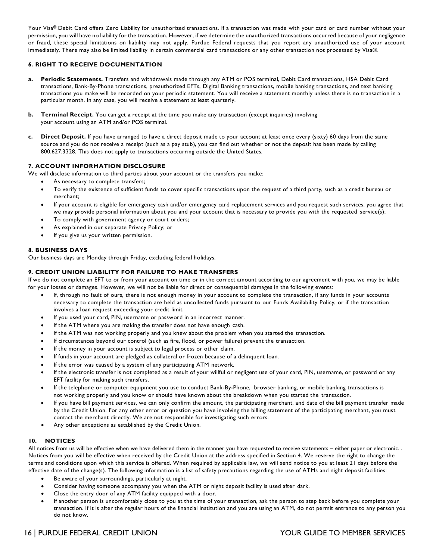Your Visa® Debit Card offers Zero Liability for unauthorized transactions. If a transaction was made with your card or card number without your permission, you will have no liability for the transaction. However, if we determine the unauthorized transactions occurred because of your negligence or fraud, these special limitations on liability may not apply. Purdue Federal requests that you report any unauthorized use of your account immediately. There may also be limited liability in certain commercial card transactions or any other transaction not processed by Visa®.

## **6. RIGHT TO RECEIVE DOCUMENTATION**

- **a. Periodic Statements.** Transfers and withdrawals made through any ATM or POS terminal, Debit Card transactions, HSA Debit Card transactions, Bank-By-Phone transactions, preauthorized EFTs, Digital Banking transactions, mobile banking transactions, and text banking transactions you make will be recorded on your periodic statement. You will receive a statement monthly unless there is no transaction in a particular month. In any case, you will receive a statement at least quarterly.
- **b. Terminal Receipt.** You can get a receipt at the time you make any transaction (except inquiries) involving your account using an ATM and/or POS terminal.
- **c. Direct Deposit.** If you have arranged to have a direct deposit made to your account at least once every (sixty) 60 days from the same source and you do not receive a receipt (such as a pay stub), you can find out whether or not the deposit has been made by calling 800.627.3328. This does not apply to transactions occurring outside the United States.

#### **7. ACCOUNT INFORMATION DISCLOSURE**

We will disclose information to third parties about your account or the transfers you make:

- • As necessary to complete transfers;
	- • To verify the existence of sufficient funds to cover specific transactions upon the request of a third party, such as a credit bureau or merchant;
	- • If your account is eligible for emergency cash and/or emergency card replacement services and you request such services, you agree that we may provide personal information about you and your account that is necessary to provide you with the requested service(s);
	- To comply with government agency or court orders;
	- As explained in our separate Privacy Policy; or
	- If you give us your written permission.

#### **8. BUSINESS DAYS**

Our business days are Monday through Friday, excluding federal holidays.

#### **9. CREDIT UNION LIABILITY FOR FAILURE TO MAKE TRANSFERS**

 If we do not complete an EFT to or from your account on time or in the correct amount according to our agreement with you, we may be liable for your losses or damages. However, we will not be liable for direct or consequential damages in the following events:

- • If, through no fault of ours, there is not enough money in your account to complete the transaction, if any funds in your accounts necessary to complete the transaction are held as uncollected funds pursuant to our Funds Availability Policy, or if the transaction involves a loan request exceeding your credit limit.
- If you used your card, PIN, username or password in an incorrect manner.
- If the ATM where you are making the transfer does not have enough cash.
- If the ATM was not working properly and you knew about the problem when you started the transaction.
- If circumstances beyond our control (such as fire, flood, or power failure) prevent the transaction.
- If the money in your account is subject to legal process or other claim.
- If funds in your account are pledged as collateral or frozen because of a delinquent loan.
- If the error was caused by a system of any participating ATM network.
- • If the electronic transfer is not completed as a result of your willful or negligent use of your card, PIN, username, or password or any EFT facility for making such transfers.
- • If the telephone or computer equipment you use to conduct Bank-By-Phone, browser banking, or mobile banking transactions is not working properly and you know or should have known about the breakdown when you started the transaction.
- • If you have bill payment services, we can only confirm the amount, the participating merchant, and date of the bill payment transfer made by the Credit Union. For any other error or question you have involving the billing statement of the participating merchant, you must contact the merchant directly. We are not responsible for investigating such errors.
- Any other exceptions as established by the Credit Union.

## **10. NOTICES**

 All notices from us will be effective when we have delivered them in the manner you have requested to receive statements – either paper or electronic. . Notices from you will be effective when received by the Credit Union at the address specified in Section 4. We reserve the right to change the terms and conditions upon which this service is offered. When required by applicable law, we will send notice to you at least 21 days before the effective date of the change(s). The following information is a list of safety precautions regarding the use of ATMs and night deposit facilities:

- Be aware of your surroundings, particularly at night.
- Consider having someone accompany you when the ATM or night deposit facility is used after dark.
- Close the entry door of any ATM facility equipped with a door.
- • If another person is uncomfortably close to you at the time of your transaction, ask the person to step back before you complete your transaction. If it is after the regular hours of the financial institution and you are using an ATM, do not permit entrance to any person you do not know.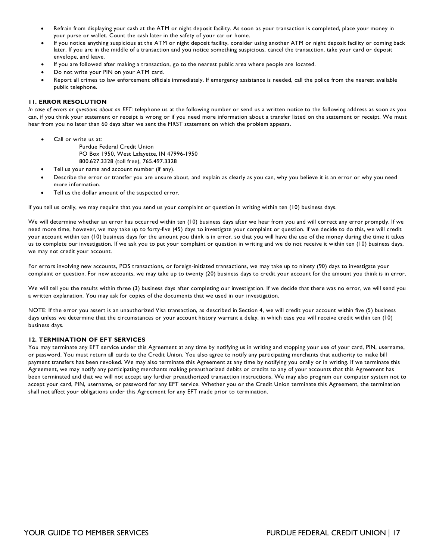- • Refrain from displaying your cash at the ATM or night deposit facility. As soon as your transaction is completed, place your money in your purse or wallet. Count the cash later in the safety of your car or home.
- • If you notice anything suspicious at the ATM or night deposit facility, consider using another ATM or night deposit facility or coming back later. If you are in the middle of a transaction and you notice something suspicious, cancel the transaction, take your card or deposit envelope, and leave.
- If you are followed after making a transaction, go to the nearest public area where people are located.
- Do not write your PIN on your ATM card.
- • Report all crimes to law enforcement officials immediately. If emergency assistance is needed, call the police from the nearest available public telephone.

#### **11. ERROR RESOLUTION**

 *In case of errors or questions about an EFT*: telephone us at the following number or send us a written notice to the following address as soon as you can, if you think your statement or receipt is wrong or if you need more information about a transfer listed on the statement or receipt. We must hear from you no later than 60 days after we sent the FIRST statement on which the problem appears.

• Call or write us at:

 Purdue Federal Credit Union PO Box 1950, West Lafayette, IN 47996-1950 800.627.3328 (toll free), 765.497.3328

- Tell us your name and account number (if any).
- • Describe the error or transfer you are unsure about, and explain as clearly as you can, why you believe it is an error or why you need more information.
- Tell us the dollar amount of the suspected error.

If you tell us orally, we may require that you send us your complaint or question in writing within ten (10) business days.

 We will determine whether an error has occurred within ten (10) business days after we hear from you and will correct any error promptly. If we need more time, however, we may take up to forty-five (45) days to investigate your complaint or question. If we decide to do this, we will credit your account within ten (10) business days for the amount you think is in error, so that you will have the use of the money during the time it takes us to complete our investigation. If we ask you to put your complaint or question in writing and we do not receive it within ten (10) business days, we may not credit your account.

 For errors involving new accounts, POS transactions, or foreign-initiated transactions, we may take up to ninety (90) days to investigate your complaint or question. For new accounts, we may take up to twenty (20) business days to credit your account for the amount you think is in error.

 We will tell you the results within three (3) business days after completing our investigation. If we decide that there was no error, we will send you a written explanation. You may ask for copies of the documents that we used in our investigation.

 NOTE: If the error you assert is an unauthorized Visa transaction, as described in Section 4, we will credit your account within five (5) business days unless we determine that the circumstances or your account history warrant a delay, in which case you will receive credit within ten (10) business days.

#### **12. TERMINATION OF EFT SERVICES**

 You may terminate any EFT service under this Agreement at any time by notifying us in writing and stopping your use of your card, PIN, username, or password. You must return all cards to the Credit Union. You also agree to notify any participating merchants that authority to make bill payment transfers has been revoked. We may also terminate this Agreement at any time by notifying you orally or in writing. If we terminate this Agreement, we may notify any participating merchants making preauthorized debits or credits to any of your accounts that this Agreement has been terminated and that we will not accept any further preauthorized transaction instructions. We may also program our computer system not to accept your card, PIN, username, or password for any EFT service. Whether you or the Credit Union terminate this Agreement, the termination shall not affect your obligations under this Agreement for any EFT made prior to termination.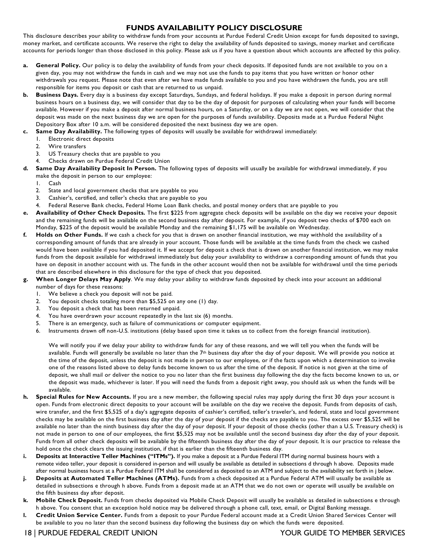# **FUNDS AVAILABILITY POLICY DISCLOSURE**

 money market, and certificate accounts. We reserve the right to delay the availability of funds deposited to savings, money market and certificate accounts for periods longer than those disclosed in this policy. Please ask us if you have a question about which accounts are affected by this policy. This disclosure describes your ability to withdraw funds from your accounts at Purdue Federal Credit Union except for funds deposited to savings,

- **a. General Policy.** Our policy is to delay the availability of funds from your check deposits. If deposited funds are not available to you on a given day, you may not withdraw the funds in cash and we may not use the funds to pay items that you have written or honor other withdrawals you request. Please note that even after we have made funds available to you and you have withdrawn the funds, you are still responsible for items you deposit or cash that are returned to us unpaid.
- **b. Business Days.** Every day is a business day except Saturdays, Sundays, and federal holidays. If you make a deposit in person during normal business hours on a business day, we will consider that day to be the day of deposit for purposes of calculating when your funds will become available. However if you make a deposit after normal business hours, on a Saturday, or on a day we are not open, we will consider that the deposit was made on the next business day we are open for the purposes of funds availability. Deposits made at a Purdue Federal Night Depository Box after 10 a.m. will be considered deposited the next business day we are open.
- **c. Same Day Availability.** The following types of deposits will usually be available for withdrawal immediately:
	- 1. Electronic direct deposits
	- 2. Wire transfers
	- 3. US Treasury checks that are payable to you
	- 4. Checks drawn on Purdue Federal Credit Union
- **d. Same Day Availability Deposit In Person.** The following types of deposits will usually be available for withdrawal immediately, if you make the deposit in person to our employee:
	- 1. Cash
	- 2. State and local government checks that are payable to you
	- 3. Cashier's, certified, and teller's checks that are payable to you
	- 4. Federal Reserve Bank checks, Federal Home Loan Bank checks, and postal money orders that are payable to you
- **e. Availability of Other Check Deposits.** The first \$225 from aggregate check deposits will be available on the day we receive your deposit and the remaining funds will be available on the second business day after deposit. For example, if you deposit two checks of \$700 each on Monday, \$225 of the deposit would be available Monday and the remaining \$1,175 will be available on Wednesday.
- **f. Holds on Other Funds.** If we cash a check for you that is drawn on another financial institution, we may withhold the availability of a corresponding amount of funds that are already in your account. Those funds will be available at the time funds from the check we cashed would have been available if you had deposited it. If we accept for deposit a check that is drawn on another financial institution, we may make funds from the deposit available for withdrawal immediately but delay your availability to withdraw a corresponding amount of funds that you have on deposit in another account with us. The funds in the other account would then not be available for withdrawal until the time periods that are described elsewhere in this disclosure for the type of check that you deposited.
- **g. When Longer Delays May Apply**. We may delay your ability to withdraw funds deposited by check into your account an additional number of days for these reasons:
	- 1. We believe a check you deposit will not be paid.
	- 2. You deposit checks totaling more than \$5,525 on any one (1) day.
	- 3. You deposit a check that has been returned unpaid.
	- 4. You have overdrawn your account repeatedly in the last six (6) months.
	- 5. There is an emergency, such as failure of communications or computer equipment.
	- 6. Instruments drawn off non-U.S. institutions (delay based upon time it takes us to collect from the foreign financial institution).

 We will notify you if we delay your ability to withdraw funds for any of these reasons, and we will tell you when the funds will be available. Funds will generally be available no later than the  $7<sup>th</sup>$  business day after the day of your deposit. We will provide you notice at the time of the deposit, unless the deposit is not made in person to our employee, or if the facts upon which a determination to invoke one of the reasons listed above to delay funds become known to us after the time of the deposit. If notice is not given at the time of deposit, we shall mail or deliver the notice to you no later than the first business day following the day the facts become known to us, or the deposit was made, whichever is later. If you will need the funds from a deposit right away, you should ask us when the funds will be available.

- **h. Special Rules for New Accounts.** If you are a new member, the following special rules may apply during the first 30 days your account is open. Funds from electronic direct deposits to your account will be available on the day we receive the deposit. Funds from deposits of cash, wire transfer, and the first \$5,525 of a day's aggregate deposits of cashier's certified, teller's traveler's, and federal, state and local government checks may be available on the first business day after the day of your deposit if the checks are payable to you. The excess over \$5,525 will be available no later than the ninth business day after the day of your deposit. If your deposit of those checks (other than a U.S. Treasury check) is not made in person to one of our employees, the first \$5,525 may not be available until the second business day after the day of your deposit. Funds from all other check deposits will be available by the fifteenth business day after the day of your deposit. It is our practice to release the hold once the check clears the issuing institution, if that is earlier than the fifteenth business day.
- **i. Deposits at Interactive Teller Machines ("ITMs").** If you make a deposit at a Purdue Federal ITM during normal business hours with a remote video teller, your deposit is considered in-person and will usually be available as detailed in subsections d through h above. Deposits made after normal business hours at a Purdue Federal ITM shall be considered as deposited to an ATM and subject to the availability set forth in j below.
- **j. Deposits at Automated Teller Machines (ATMs).** Funds from a check deposited at a Purdue Federal ATM will usually be available as detailed in subsections e through h above. Funds from a deposit made at an ATM that we do not own or operate will usually be available on the fifth business day after deposit.
- **k. Mobile Check Deposit.** Funds from checks deposited via Mobile Check Deposit will usually be available as detailed in subsections e through h above. You consent that an exception hold notice may be delivered through a phone call, text, email, or Digital Banking message.
- **l. Credit Union Service Center.** Funds from a deposit to your Purdue Federal account made at a Credit Union Shared Services Center will be available to you no later than the second business day following the business day on which the funds were deposited.
- 18 | PURDUE FEDERAL CREDIT UNION YOUR GUIDE TO MEMBER SERVICES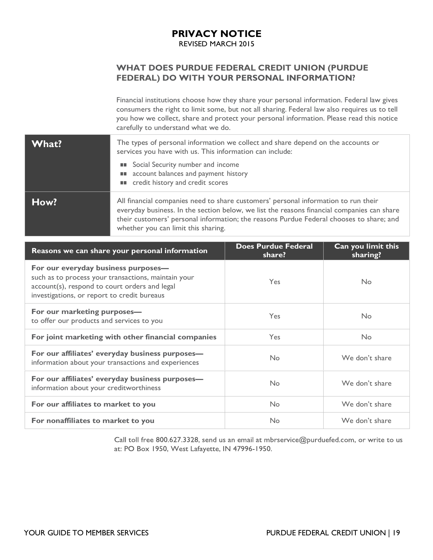# **PRIVACY NOTICE**

REVISED MARCH 2015

# **WHAT DOES PURDUE FEDERAL CREDIT UNION (PURDUE FEDERAL) DO WITH YOUR PERSONAL INFORMATION?**

 Financial institutions choose how they share your personal information. Federal law gives consumers the right to limit some, but not all sharing. Federal law also requires us to tell you how we collect, share and protect your personal information. Please read this notice carefully to understand what we do.

| What? | The types of personal information we collect and share depend on the accounts or<br>services you have with us. This information can include:<br>Social Security number and income<br>a a<br><b>II</b> account balances and payment history<br><b>II</b> credit history and credit scores                           |
|-------|--------------------------------------------------------------------------------------------------------------------------------------------------------------------------------------------------------------------------------------------------------------------------------------------------------------------|
| How?  | All financial companies need to share customers' personal information to run their<br>everyday business. In the section below, we list the reasons financial companies can share<br>their customers' personal information; the reasons Purdue Federal chooses to share; and<br>whether you can limit this sharing. |

| Reasons we can share your personal information                                                                                                                                             | <b>Does Purdue Federal</b><br>share? | Can you limit this<br>sharing? |
|--------------------------------------------------------------------------------------------------------------------------------------------------------------------------------------------|--------------------------------------|--------------------------------|
| For our everyday business purposes-<br>such as to process your transactions, maintain your<br>account(s), respond to court orders and legal<br>investigations, or report to credit bureaus | <b>Yes</b>                           | <b>No</b>                      |
| For our marketing purposes-<br>to offer our products and services to you                                                                                                                   | <b>Yes</b>                           | <b>No</b>                      |
| For joint marketing with other financial companies                                                                                                                                         | <b>Yes</b>                           | <b>No</b>                      |
| For our affiliates' everyday business purposes-<br>information about your transactions and experiences                                                                                     | <b>No</b>                            | We don't share                 |
| For our affiliates' everyday business purposes-<br>information about your creditworthiness                                                                                                 | No                                   | We don't share                 |
| For our affiliates to market to you                                                                                                                                                        | <b>No</b>                            | We don't share                 |
| For nonaffiliates to market to you                                                                                                                                                         | No                                   | We don't share                 |

Call toll free 800.627.3328, send us an email at mbrservice@purduefed.com, or write to us at: PO Box 1950, West Lafayette, IN 47996-1950.